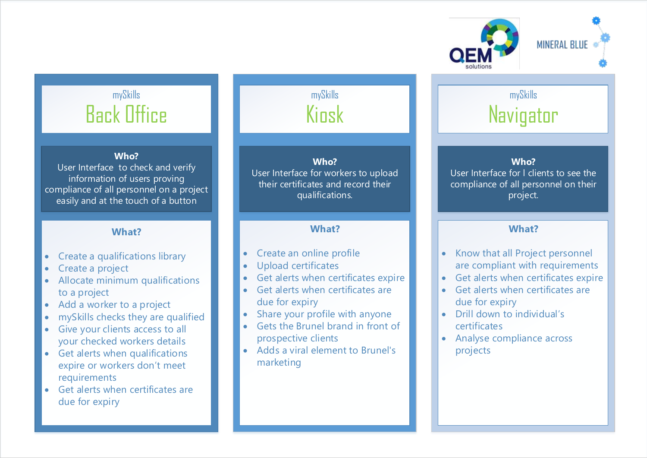

### mySkills Back Office

#### **Who?**

User Interface to check and verify information of users proving compliance of all personnel on a project easily and at the touch of a button

#### **What?**

- Create a qualifications library
- Create a project
- Allocate minimum qualifications to a project
- Add a worker to a project
- mySkills checks they are qualified
- Give your clients access to all your checked workers details
- Get alerts when qualifications expire or workers don't meet requirements
- Get alerts when certificates are due for expiry

### mySkills Kinsk

### **Who?**

User Interface for workers to upload their certificates and record their qualifications.

#### **What?**

- Create an online profile
- Upload certificates
- Get alerts when certificates expire
- Get alerts when certificates are due for expiry
- Share your profile with anyone
- Gets the Brunel brand in front of prospective clients
- Adds a viral element to Brunel's marketing

### **Navigator**

mySkills

#### **Who?** User Interface for l clients to see the

compliance of all personnel on their project.

#### **What?**

- Know that all Project personnel are compliant with requirements
- Get alerts when certificates expire
- Get alerts when certificates are due for expiry
- $\bullet$  Drill down to individual's certificates
- Analyse compliance across projects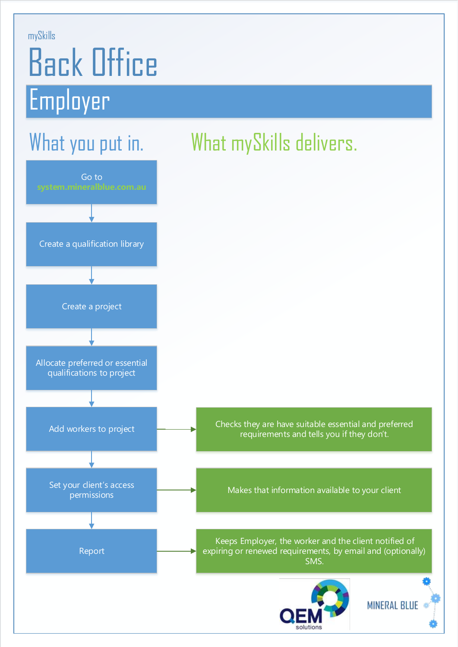#### mySkills

## Back Office Employer

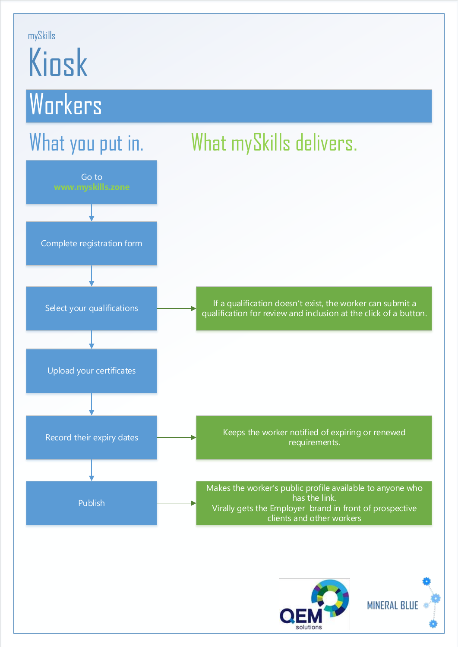#### mySkills

# Kiosk

## **Workers**